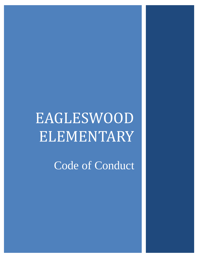# EAGLESWOOD ELEMENTARY

Code of Conduct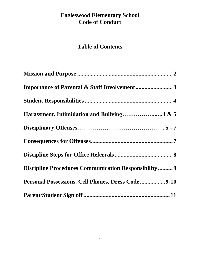# **Eagleswood Elementary School Code of Conduct**

# **Table of Contents**

| <b>Importance of Parental &amp; Staff Involvement3</b>     |
|------------------------------------------------------------|
|                                                            |
|                                                            |
|                                                            |
|                                                            |
|                                                            |
| <b>Discipline Procedures Communication Responsibility9</b> |
| Personal Possessions, Cell Phones, Dress Code9-10          |
|                                                            |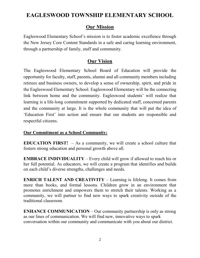# **EAGLESWOOD TOWNSHIP ELEMENTARY SCHOOL**

#### **Our Mission**

Eagleswood Elementary School's mission is to foster academic excellence through the New Jersey Core Content Standards in a safe and caring learning environment, through a partnership of family, staff and community.

#### **Our Vision**

The Eagleswood Elementary School Board of Education will provide the opportunity for faculty, staff, parents, alumni and all community members including retirees and business owners, to develop a sense of ownership, spirit, and pride in the Eagleswood Elementary School. Eagleswood Elementary will be the connecting link between home and the community. Eagleswood students' will realize that learning is a life-long commitment supported by dedicated staff, concerned parents and the community at large. It is the whole community that will put the idea of 'Education First' into action and ensure that our students are responsible and respectful citizens.

#### **Our Commitment as a School Community:**

**EDUCATION FIRST!** – As a community, we will create a school culture that fosters strong education and personal growth above all.

**EMBRACE INDIVIDUALITY** – Every child will grow if allowed to reach his or her full potential. As educators, we will create a program that identifies and builds on each child's diverse strengths, challenges and needs.

**ENRICH TALENT AND CREATIVITY** – Learning is lifelong. It comes from more than books, and formal lessons. Children grow in an environment that promotes enrichment and empowers them to stretch their talents. Working as a community, we will partner to find new ways to spark creativity outside of the traditional classroom.

**ENHANCE COMMUNICATION** – Our community partnership is only as strong as our lines of communication. We will find new, innovative ways to spark conversation within our community and communicate with you about our district.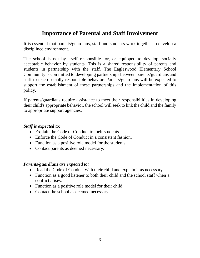# **Importance of Parental and Staff Involvement**

It is essential that parents/guardians, staff and students work together to develop a disciplined environment.

The school is not by itself responsible for, or equipped to develop, socially acceptable behavior by students. This is a shared responsibility of parents and students in partnership with the staff. The Eagleswood Elementary School Community is committed to developing partnerships between parents/guardians and staff to teach socially responsible behavior. Parents/guardians will be expected to support the establishment of these partnerships and the implementation of this policy.

If parents/guardians require assistance to meet their responsibilities in developing their child's appropriate behavior, the school will seek to link the child and the family to appropriate support agencies.

#### *Staff is expected to:*

- Explain the Code of Conduct to their students.
- Enforce the Code of Conduct in a consistent fashion.
- Function as a positive role model for the students.
- Contact parents as deemed necessary.

#### *Parents/guardians are expected to:*

- Read the Code of Conduct with their child and explain it as necessary.
- Function as a good listener to both their child and the school staff when a conflict arises.
- Function as a positive role model for their child.
- Contact the school as deemed necessary.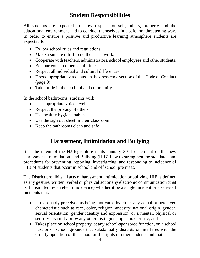# **Student Responsibilities**

All students are expected to show respect for self, others, property and the educational environment and to conduct themselves in a safe, nonthreatening way. In order to ensure a positive and productive learning atmosphere students are expected to:

- Follow school rules and regulations.
- Make a sincere effort to do their best work.
- Cooperate with teachers, administrators, school employees and other students.
- Be courteous to others at all times.
- Respect all individual and cultural differences.
- Dress appropriately as stated in the dress code section of this Code of Conduct (page 9).
- Take pride in their school and community.

In the school bathrooms, students will:

- Use appropriate voice level
- Respect the privacy of others
- Use healthy hygiene habits
- Use the sign out sheet in their classroom
- Keep the bathrooms clean and safe

# **Harassment, Intimidation and Bullying**

It is the intent of the NJ legislature in its January 2011 enactment of the new Harassment, Intimidation, and Bullying (HIB) Law to strengthen the standards and procedures for preventing, reporting, investigating, and responding to incidence of HIB of students that occur in school and off school premises.

The District prohibits all acts of harassment, intimidation or bullying. HIB is defined as any gesture, written, verbal or physical act or any electronic communication (that is, transmitted by an electronic device) whether it be a single incident or a series of incidents that:

- Is reasonably perceived as being motivated by either any actual or perceived characteristic such as race, color, religion, ancestry, national origin, gender, sexual orientation, gender identity and expression, or a mental, physical or sensory disability or by any other distinguishing characteristic; and
- Takes place on school property, at any school-sponsored function, on a school bus, or of school grounds that substantially disrupts or interferes with the orderly operation of the school or the rights of other students and that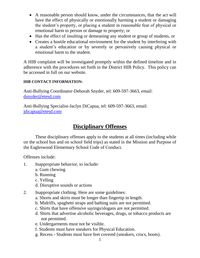- A reasonable person should know, under the circumstances, that the act will have the effect of physically or emotionally harming a student or damaging the student's property, or placing a student in reasonable fear of physical or emotional harm to person or damage to property; or
- Has the effect of insulting or demeaning any student or group of students, or
- Creates a hostile educational environment for the student by interfering with a student's education or by severely or pervasively causing physical or emotional harm to the student.

A HIB complaint will be investigated promptly within the defined timeline and in adherence with the procedures set forth in the District HIB Policy. This policy can be accessed in full on our website.

#### **HIB CONTACT INFORMATION:**

Anti-Bullying Coordinator-Deborah Snyder, tel: 609-597-3663, email: [dsnyder@etesd.com](mailto:dsnyder@etesd.com)

Anti-Bullying Specialist-Jaclyn DiCapua, tel: 609-597-3663, email: [jdicapua@etesd.com](mailto:jdicapua@etesd.com)

## **Disciplinary Offenses**

These disciplinary offenses apply to the students at all times (including while on the school bus and on school field trips) as stated in the Mission and Purpose of the Eagleswood Elementary School Code of Conduct.

Offenses include:

- 1. Inappropriate behavior, to include:
	- a. Gum chewing
	- b. Running
	- c. Yelling
	- d. Disruptive sounds or actions
- 2. Inappropriate clothing. Here are some guidelines:
	- a. Shorts and skirts must be longer than fingertip in length.
	- b. Midriffs, spaghetti straps and bathing suits are not permitted.
	- c. Shirts that have offensive sayings/slogans are not permitted.
	- d. Shirts that advertise alcoholic beverages, drugs, or tobacco products are not permitted.
	- e. Undergarments must not be visible.
	- f. Students must have sneakers for Physical Education.
	- g. Recess Students must have feet covered (sneakers, crocs, boots).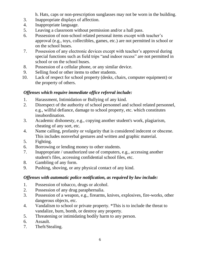h. Hats, caps or non-prescription sunglasses may not be worn in the building.

- 3. Inappropriate displays of affection.
- 4. Inappropriate language.
- 5. Leaving a classroom without permission and/or a hall pass.
- 6. Possession of non-school related personal items except with teacher's approval (e.g., toys, collectibles, games, etc.) are not permitted in school or on the school buses.
- 7. Possession of any electronic devices except with teacher's approval during special functions such as field trips "and indoor recess" are not permitted in school or on the school buses.
- 8. Possession of a cellular phone, or any similar device.
- 9. Selling food or other items to other students.
- 10. Lack of respect for school property (desks, chairs, computer equipment) or the property of others.

#### *Offenses which require immediate office referral include:*

- 1. Harassment, Intimidation or Bullying of any kind.
- 2. Disrespect of the authority of school personnel and school related personnel, e.g., willful defiance, damage to school property, etc. which constitutes insubordination.
- 3. Academic dishonesty, e.g., copying another student's work, plagiarism, cheating of any sort, etc.
- 4. Name calling, profanity or vulgarity that is considered indecent or obscene. This includes nonverbal gestures and written and graphic material.
- 5. Fighting.
- 6. Borrowing or lending money to other students.
- 7. Inappropriate / unauthorized use of computers, e.g., accessing another student's files, accessing confidential school files, etc.
- 8. Gambling of any form.
- 9. Pushing, shoving, or any physical contact of any kind.

#### *Offenses with automatic police notification, as required by law include:*

- 1. Possession of tobacco, drugs or alcohol.
- 2. Possession of any drug paraphernalia.
- 3. Possession of a weapon, e.g., firearms, knives, explosives, fire-works, other dangerous objects, etc.
- 4. Vandalism to school or private property. \*This is to include the threat to vandalize, burn, bomb, or destroy any property.
- 5. Threatening or intimidating bodily harm to any person.
- 6. Assault.
- 7. Theft/Stealing.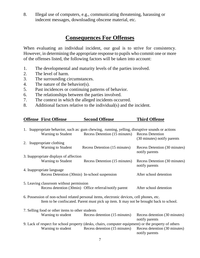8. Illegal use of computers, e.g., communicating threatening, harassing or indecent messages, downloading obscene material, etc.

## **Consequences For Offenses**

When evaluating an individual incident, our goal is to strive for consistency. However, in determining the appropriate response to pupils who commit one or more of the offenses listed, the following factors will be taken into account:

- 1. The developmental and maturity levels of the parties involved.
- 2. The level of harm.
- 3. The surrounding circumstances.
- 4. The nature of the behavior(s).
- 5. Past incidences or continuing patterns of behavior.
- 6. The relationships between the parties involved.
- 7. The context in which the alleged incidents occurred.
- 8. Additional factors relative to the individual(s) and the incident.

# **Offense First Offense Second Offense Third Offense**

| 1. Inappropriate behavior, such as: gum chewing, running, yelling, disruptive sounds or actions |                                                                       |                                                                                                                                                                                                                                                                                                                                                                                                                                                                                                                                                                                                           |  |  |
|-------------------------------------------------------------------------------------------------|-----------------------------------------------------------------------|-----------------------------------------------------------------------------------------------------------------------------------------------------------------------------------------------------------------------------------------------------------------------------------------------------------------------------------------------------------------------------------------------------------------------------------------------------------------------------------------------------------------------------------------------------------------------------------------------------------|--|--|
| Warning to Student                                                                              | Recess Detention (15 minutes)                                         | <b>Recess Detention</b>                                                                                                                                                                                                                                                                                                                                                                                                                                                                                                                                                                                   |  |  |
|                                                                                                 |                                                                       | (30 minutes) notify parents                                                                                                                                                                                                                                                                                                                                                                                                                                                                                                                                                                               |  |  |
|                                                                                                 |                                                                       |                                                                                                                                                                                                                                                                                                                                                                                                                                                                                                                                                                                                           |  |  |
| <b>Warning to Student</b>                                                                       |                                                                       | Recess Detention (30 minutes)<br>notify parents                                                                                                                                                                                                                                                                                                                                                                                                                                                                                                                                                           |  |  |
| 3. Inappropriate displays of affection                                                          |                                                                       |                                                                                                                                                                                                                                                                                                                                                                                                                                                                                                                                                                                                           |  |  |
| <b>Warning to Student</b>                                                                       | Recess Detention (15 minutes)                                         | Recess Detention (30 minutes)<br>notify parents                                                                                                                                                                                                                                                                                                                                                                                                                                                                                                                                                           |  |  |
| 4. Inappropriate language                                                                       |                                                                       |                                                                                                                                                                                                                                                                                                                                                                                                                                                                                                                                                                                                           |  |  |
|                                                                                                 |                                                                       | After school detention                                                                                                                                                                                                                                                                                                                                                                                                                                                                                                                                                                                    |  |  |
|                                                                                                 |                                                                       |                                                                                                                                                                                                                                                                                                                                                                                                                                                                                                                                                                                                           |  |  |
|                                                                                                 |                                                                       |                                                                                                                                                                                                                                                                                                                                                                                                                                                                                                                                                                                                           |  |  |
|                                                                                                 |                                                                       | After school detention                                                                                                                                                                                                                                                                                                                                                                                                                                                                                                                                                                                    |  |  |
|                                                                                                 |                                                                       |                                                                                                                                                                                                                                                                                                                                                                                                                                                                                                                                                                                                           |  |  |
|                                                                                                 |                                                                       |                                                                                                                                                                                                                                                                                                                                                                                                                                                                                                                                                                                                           |  |  |
|                                                                                                 |                                                                       |                                                                                                                                                                                                                                                                                                                                                                                                                                                                                                                                                                                                           |  |  |
|                                                                                                 |                                                                       |                                                                                                                                                                                                                                                                                                                                                                                                                                                                                                                                                                                                           |  |  |
|                                                                                                 |                                                                       | Recess detention (30 minutes)                                                                                                                                                                                                                                                                                                                                                                                                                                                                                                                                                                             |  |  |
|                                                                                                 |                                                                       | notify parents                                                                                                                                                                                                                                                                                                                                                                                                                                                                                                                                                                                            |  |  |
|                                                                                                 |                                                                       |                                                                                                                                                                                                                                                                                                                                                                                                                                                                                                                                                                                                           |  |  |
|                                                                                                 |                                                                       | Recess detention (30 minutes)                                                                                                                                                                                                                                                                                                                                                                                                                                                                                                                                                                             |  |  |
|                                                                                                 |                                                                       | notify parents                                                                                                                                                                                                                                                                                                                                                                                                                                                                                                                                                                                            |  |  |
|                                                                                                 | 2. Inappropriate clothing<br>Warning to student<br>Warning to student | Recess Detention (15 minutes)<br>Recess Detention (30min) In-school suspension<br>5. Leaving classroom without permission<br>Recess detention (30min) Office referral/notify parent<br>6. Possession of non-school related personal items, electronic devices, cell phones, etc.<br>Item to be confiscated. Parent must pick up item. It may not be brought back to school.<br>7. Selling food or other items to other students<br>Recess detention (15 minutes)<br>9. Lack of respect for school property (desks, chairs, computer equipment) or the property of others<br>Recess detention (15 minutes) |  |  |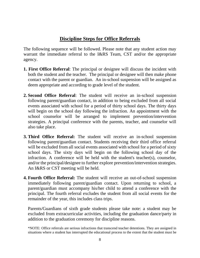#### **Discipline Steps for Office Referrals**

The following sequence will be followed. Please note that any student action may warrant the immediate referral to the I&RS Team, CST and/or the appropriate agency.

- **1. First Office Referral**: The principal or designee will discuss the incident with both the student and the teacher. The principal or designee will then make phone contact with the parent or guardian. An in-school suspension will be assigned as deem appropriate and according to grade level of the student.
- **2. Second Office Referral**: The student will receive an in-school suspension following parent/guardian contact, in addition to being excluded from all social events associated with school for a period of thirty school days. The thirty days will begin on the school day following the infraction. An appointment with the school counselor will be arranged to implement prevention/intervention strategies. A principal conference with the parents, teacher, and counselor will also take place.
- **3. Third Office Referral:** The student will receive an in-school suspension following parent/guardian contact. Students receiving their third office referral will be excluded from all social events associated with school for a period of sixty school days. The sixty days will begin on the following school day of the infraction. A conference will be held with the student's teacher(s), counselor, and/or the principal/designee to further explore prevention/intervention strategies. An I&RS or CST meeting will be held.
- **4. Fourth Office Referral:** The student will receive an out-of-school suspension immediately following parent/guardian contact. Upon returning to school, a parent/guardian must accompany his/her child to attend a conference with the principal. The fourth referral excludes the student from all social events for the remainder of the year, this includes class trips.

Parents/Guardians of sixth grade students please take note: a student may be excluded from extracurricular activities, including the graduation dance/party in addition to the graduation ceremony for discipline reasons.

\*NOTE: Office referrals are serious infractions that transcend teacher detentions. They are assigned in situations where a student has interrupted the educational process to the extent that the student must be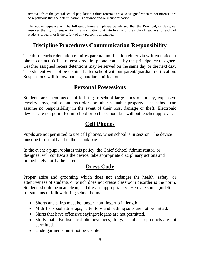removed from the general school population. Office referrals are also assigned when minor offenses are so repetitious that the determination is defiance and/or insubordination.

The above sequence will be followed; however, please be advised that the Principal, or designee, reserves the right of suspension in any situation that interferes with the right of teachers to teach, of students to learn, or if the safety of any person is threatened.

# **Discipline Procedures Communication Responsibility**

The third teacher detention requires parental notification either via written notice or phone contact. Office referrals require phone contact by the principal or designee. Teacher assigned recess detentions may be served on the same day or the next day. The student will not be detained after school without parent/guardian notification. Suspensions will follow parent/guardian notification.

## **Personal Possessions**

Students are encouraged not to bring to school large sums of money, expensive jewelry, toys, radios and recorders or other valuable property. The school can assume no responsibility in the event of their loss, damage or theft. Electronic devices are not permitted in school or on the school bus without teacher approval.

## **Cell Phones**

Pupils are not permitted to use cell phones, when school is in session. The device must be turned off and in their book bag.

In the event a pupil violates this policy, the Chief School Administrator, or designee, will confiscate the device, take appropriate disciplinary actions and immediately notify the parent.

# **Dress Code**

Proper attire and grooming which does not endanger the health, safety, or attentiveness of students or which does not create classroom disorder is the norm. Students should be neat, clean, and dressed appropriately. Here are some guidelines for students to follow during school hours:

- Shorts and skirts must be longer than fingertip in length.
- Midriffs, spaghetti straps, halter tops and bathing suits are not permitted.
- Shirts that have offensive sayings/slogans are not permitted.
- Shirts that advertise alcoholic beverages, drugs, or tobacco products are not permitted.
- Undergarments must not be visible.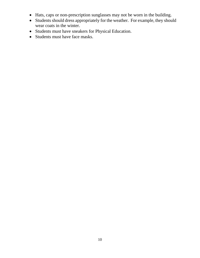- Hats, caps or non-prescription sunglasses may not be worn in the building.
- Students should dress appropriately for the weather. For example, they should wear coats in the winter.
- Students must have sneakers for Physical Education.
- Students must have face masks.